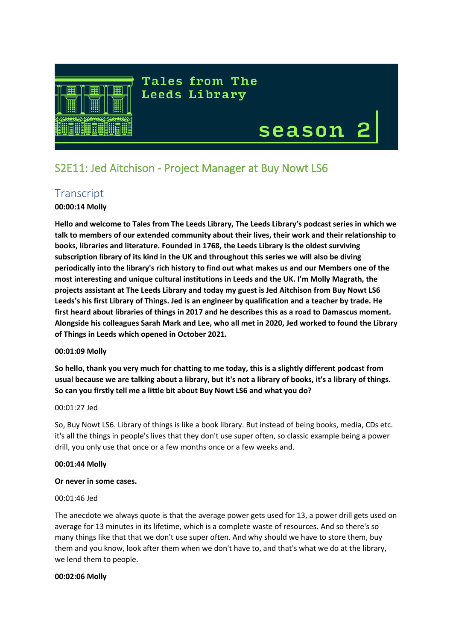

**Tales from The Leeds Library** 

# season

 $\begin{array}{c} \hline \end{array}$ 

# S2E11: Jed Aitchison - Project Manager at Buy Nowt LS6

# **Transcript**

# **00:00:14 Molly**

**Hello and welcome to Tales from The Leeds Library, The Leeds Library's podcast series in which we talk to members of our extended community about their lives, their work and their relationship to books, libraries and literature. Founded in 1768, the Leeds Library is the oldest surviving subscription library of its kind in the UK and throughout this series we will also be diving periodically into the library's rich history to find out what makes us and our Members one of the most interesting and unique cultural institutions in Leeds and the UK. I'm Molly Magrath, the projects assistant at The Leeds Library and today my guest is Jed Aitchison from Buy Nowt LS6 Leeds's his first Library of Things. Jed is an engineer by qualification and a teacher by trade. He first heard about libraries of things in 2017 and he describes this as a road to Damascus moment. Alongside his colleagues Sarah Mark and Lee, who all met in 2020, Jed worked to found the Library of Things in Leeds which opened in October 2021.**

# **00:01:09 Molly**

**So hello, thank you very much for chatting to me today, this is a slightly different podcast from usual because we are talking about a library, but it's not a library of books, it's a library of things. So can you firstly tell me a little bit about Buy Nowt LS6 and what you do?**

# 00:01:27 Jed

So, Buy Nowt LS6. Library of things is like a book library. But instead of being books, media, CDs etc. it's all the things in people's lives that they don't use super often, so classic example being a power drill, you only use that once or a few months once or a few weeks and.

# **00:01:44 Molly**

# **Or never in some cases.**

# 00:01:46 Jed

The anecdote we always quote is that the average power gets used for 13, a power drill gets used on average for 13 minutes in its lifetime, which is a complete waste of resources. And so there's so many things like that that we don't use super often. And why should we have to store them, buy them and you know, look after them when we don't have to, and that's what we do at the library, we lend them to people.

# **00:02:06 Molly**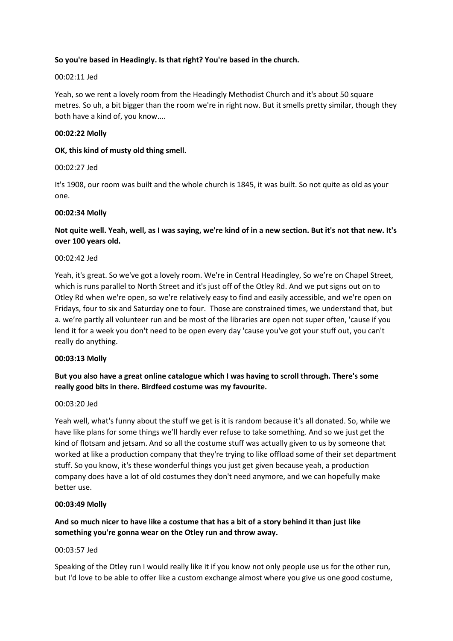# **So you're based in Headingly. Is that right? You're based in the church.**

#### 00:02:11 Jed

Yeah, so we rent a lovely room from the Headingly Methodist Church and it's about 50 square metres. So uh, a bit bigger than the room we're in right now. But it smells pretty similar, though they both have a kind of, you know....

#### **00:02:22 Molly**

#### **OK, this kind of musty old thing smell.**

#### 00:02:27 Jed

It's 1908, our room was built and the whole church is 1845, it was built. So not quite as old as your one.

#### **00:02:34 Molly**

# **Not quite well. Yeah, well, as I was saying, we're kind of in a new section. But it's not that new. It's over 100 years old.**

#### 00:02:42 Jed

Yeah, it's great. So we've got a lovely room. We're in Central Headingley, So we're on Chapel Street, which is runs parallel to North Street and it's just off of the Otley Rd. And we put signs out on to Otley Rd when we're open, so we're relatively easy to find and easily accessible, and we're open on Fridays, four to six and Saturday one to four. Those are constrained times, we understand that, but a. we're partly all volunteer run and be most of the libraries are open not super often, 'cause if you lend it for a week you don't need to be open every day 'cause you've got your stuff out, you can't really do anything.

#### **00:03:13 Molly**

# **But you also have a great online catalogue which I was having to scroll through. There's some really good bits in there. Birdfeed costume was my favourite.**

#### 00:03:20 Jed

Yeah well, what's funny about the stuff we get is it is random because it's all donated. So, while we have like plans for some things we'll hardly ever refuse to take something. And so we just get the kind of flotsam and jetsam. And so all the costume stuff was actually given to us by someone that worked at like a production company that they're trying to like offload some of their set department stuff. So you know, it's these wonderful things you just get given because yeah, a production company does have a lot of old costumes they don't need anymore, and we can hopefully make better use.

# **00:03:49 Molly**

# **And so much nicer to have like a costume that has a bit of a story behind it than just like something you're gonna wear on the Otley run and throw away.**

#### 00:03:57 Jed

Speaking of the Otley run I would really like it if you know not only people use us for the other run, but I'd love to be able to offer like a custom exchange almost where you give us one good costume,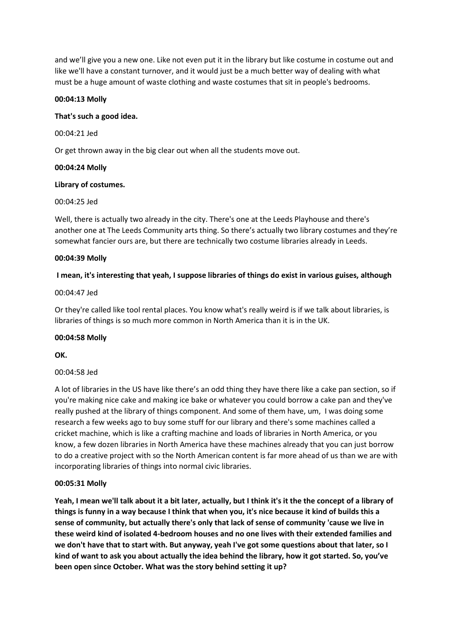and we'll give you a new one. Like not even put it in the library but like costume in costume out and like we'll have a constant turnover, and it would just be a much better way of dealing with what must be a huge amount of waste clothing and waste costumes that sit in people's bedrooms.

# **00:04:13 Molly**

# **That's such a good idea.**

00:04:21 Jed

Or get thrown away in the big clear out when all the students move out.

# **00:04:24 Molly**

# **Library of costumes.**

# 00:04:25 Jed

Well, there is actually two already in the city. There's one at the Leeds Playhouse and there's another one at The Leeds Community arts thing. So there's actually two library costumes and they're somewhat fancier ours are, but there are technically two costume libraries already in Leeds.

# **00:04:39 Molly**

# **I mean, it's interesting that yeah, I suppose libraries of things do exist in various guises, although**

# 00:04:47 Jed

Or they're called like tool rental places. You know what's really weird is if we talk about libraries, is libraries of things is so much more common in North America than it is in the UK.

# **00:04:58 Molly**

**OK.**

# 00:04:58 Jed

A lot of libraries in the US have like there's an odd thing they have there like a cake pan section, so if you're making nice cake and making ice bake or whatever you could borrow a cake pan and they've really pushed at the library of things component. And some of them have, um, I was doing some research a few weeks ago to buy some stuff for our library and there's some machines called a cricket machine, which is like a crafting machine and loads of libraries in North America, or you know, a few dozen libraries in North America have these machines already that you can just borrow to do a creative project with so the North American content is far more ahead of us than we are with incorporating libraries of things into normal civic libraries.

# **00:05:31 Molly**

**Yeah, I mean we'll talk about it a bit later, actually, but I think it's it the the concept of a library of things is funny in a way because I think that when you, it's nice because it kind of builds this a sense of community, but actually there's only that lack of sense of community 'cause we live in these weird kind of isolated 4-bedroom houses and no one lives with their extended families and we don't have that to start with. But anyway, yeah I've got some questions about that later, so I kind of want to ask you about actually the idea behind the library, how it got started. So, you've been open since October. What was the story behind setting it up?**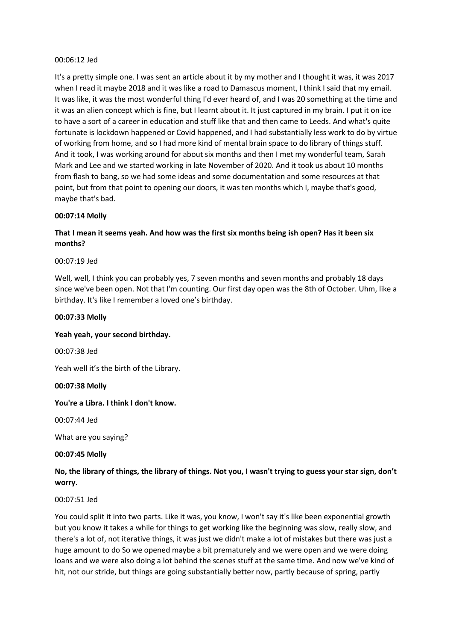#### 00:06:12 Jed

It's a pretty simple one. I was sent an article about it by my mother and I thought it was, it was 2017 when I read it maybe 2018 and it was like a road to Damascus moment, I think I said that my email. It was like, it was the most wonderful thing I'd ever heard of, and I was 20 something at the time and it was an alien concept which is fine, but I learnt about it. It just captured in my brain. I put it on ice to have a sort of a career in education and stuff like that and then came to Leeds. And what's quite fortunate is lockdown happened or Covid happened, and I had substantially less work to do by virtue of working from home, and so I had more kind of mental brain space to do library of things stuff. And it took, I was working around for about six months and then I met my wonderful team, Sarah Mark and Lee and we started working in late November of 2020. And it took us about 10 months from flash to bang, so we had some ideas and some documentation and some resources at that point, but from that point to opening our doors, it was ten months which I, maybe that's good, maybe that's bad.

# **00:07:14 Molly**

# **That I mean it seems yeah. And how was the first six months being ish open? Has it been six months?**

#### 00:07:19 Jed

Well, well, I think you can probably yes, 7 seven months and seven months and probably 18 days since we've been open. Not that I'm counting. Our first day open was the 8th of October. Uhm, like a birthday. It's like I remember a loved one's birthday.

#### **00:07:33 Molly**

# **Yeah yeah, your second birthday.**

00:07:38 Jed

Yeah well it's the birth of the Library.

#### **00:07:38 Molly**

# **You're a Libra. I think I don't know.**

00:07:44 Jed

What are you saying?

#### **00:07:45 Molly**

# **No, the library of things, the library of things. Not you, I wasn't trying to guess your star sign, don't worry.**

# 00:07:51 Jed

You could split it into two parts. Like it was, you know, I won't say it's like been exponential growth but you know it takes a while for things to get working like the beginning was slow, really slow, and there's a lot of, not iterative things, it was just we didn't make a lot of mistakes but there was just a huge amount to do So we opened maybe a bit prematurely and we were open and we were doing loans and we were also doing a lot behind the scenes stuff at the same time. And now we've kind of hit, not our stride, but things are going substantially better now, partly because of spring, partly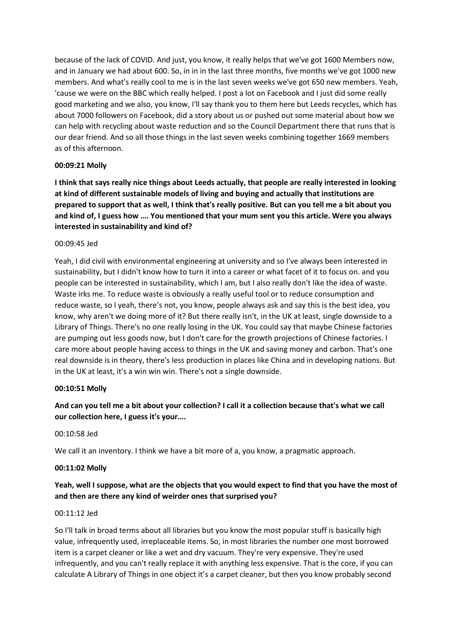because of the lack of COVID. And just, you know, it really helps that we've got 1600 Members now, and in January we had about 600. So, in in in the last three months, five months we've got 1000 new members. And what's really cool to me is in the last seven weeks we've got 650 new members. Yeah, 'cause we were on the BBC which really helped. I post a lot on Facebook and I just did some really good marketing and we also, you know, I'll say thank you to them here but Leeds recycles, which has about 7000 followers on Facebook, did a story about us or pushed out some material about how we can help with recycling about waste reduction and so the Council Department there that runs that is our dear friend. And so all those things in the last seven weeks combining together 1669 members as of this afternoon.

# **00:09:21 Molly**

**I think that says really nice things about Leeds actually, that people are really interested in looking at kind of different sustainable models of living and buying and actually that institutions are prepared to support that as well, I think that's really positive. But can you tell me a bit about you and kind of, I guess how …. You mentioned that your mum sent you this article. Were you always interested in sustainability and kind of?**

#### 00:09:45 Jed

Yeah, I did civil with environmental engineering at university and so I've always been interested in sustainability, but I didn't know how to turn it into a career or what facet of it to focus on. and you people can be interested in sustainability, which I am, but I also really don't like the idea of waste. Waste irks me. To reduce waste is obviously a really useful tool or to reduce consumption and reduce waste, so I yeah, there's not, you know, people always ask and say this is the best idea, you know, why aren't we doing more of it? But there really isn't, in the UK at least, single downside to a Library of Things. There's no one really losing in the UK. You could say that maybe Chinese factories are pumping out less goods now, but I don't care for the growth projections of Chinese factories. I care more about people having access to things in the UK and saving money and carbon. That's one real downside is in theory, there's less production in places like China and in developing nations. But in the UK at least, it's a win win win. There's not a single downside.

# **00:10:51 Molly**

# **And can you tell me a bit about your collection? I call it a collection because that's what we call our collection here, I guess it's your….**

#### 00:10:58 Jed

We call it an inventory. I think we have a bit more of a, you know, a pragmatic approach.

# **00:11:02 Molly**

# **Yeah, well I suppose, what are the objects that you would expect to find that you have the most of and then are there any kind of weirder ones that surprised you?**

#### 00:11:12 Jed

So I'll talk in broad terms about all libraries but you know the most popular stuff is basically high value, infrequently used, irreplaceable items. So, in most libraries the number one most borrowed item is a carpet cleaner or like a wet and dry vacuum. They're very expensive. They're used infrequently, and you can't really replace it with anything less expensive. That is the core, if you can calculate A Library of Things in one object it's a carpet cleaner, but then you know probably second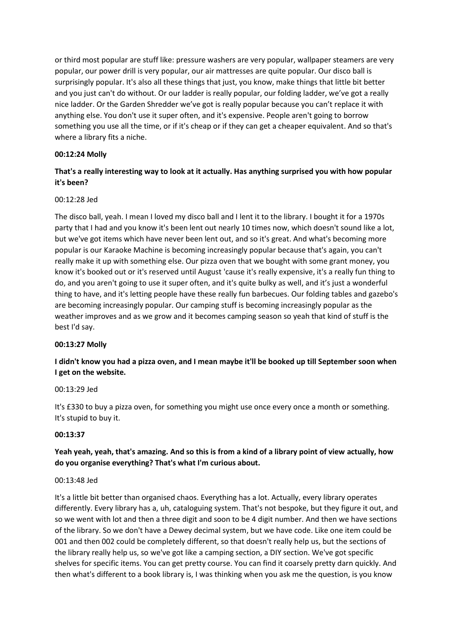or third most popular are stuff like: pressure washers are very popular, wallpaper steamers are very popular, our power drill is very popular, our air mattresses are quite popular. Our disco ball is surprisingly popular. It's also all these things that just, you know, make things that little bit better and you just can't do without. Or our ladder is really popular, our folding ladder, we've got a really nice ladder. Or the Garden Shredder we've got is really popular because you can't replace it with anything else. You don't use it super often, and it's expensive. People aren't going to borrow something you use all the time, or if it's cheap or if they can get a cheaper equivalent. And so that's where a library fits a niche.

# **00:12:24 Molly**

# **That's a really interesting way to look at it actually. Has anything surprised you with how popular it's been?**

# 00:12:28 Jed

The disco ball, yeah. I mean I loved my disco ball and I lent it to the library. I bought it for a 1970s party that I had and you know it's been lent out nearly 10 times now, which doesn't sound like a lot, but we've got items which have never been lent out, and so it's great. And what's becoming more popular is our Karaoke Machine is becoming increasingly popular because that's again, you can't really make it up with something else. Our pizza oven that we bought with some grant money, you know it's booked out or it's reserved until August 'cause it's really expensive, it's a really fun thing to do, and you aren't going to use it super often, and it's quite bulky as well, and it's just a wonderful thing to have, and it's letting people have these really fun barbecues. Our folding tables and gazebo's are becoming increasingly popular. Our camping stuff is becoming increasingly popular as the weather improves and as we grow and it becomes camping season so yeah that kind of stuff is the best I'd say.

# **00:13:27 Molly**

**I didn't know you had a pizza oven, and I mean maybe it'll be booked up till September soon when I get on the website.**

# 00:13:29 Jed

It's £330 to buy a pizza oven, for something you might use once every once a month or something. It's stupid to buy it.

# **00:13:37**

# **Yeah yeah, yeah, that's amazing. And so this is from a kind of a library point of view actually, how do you organise everything? That's what I'm curious about.**

# 00:13:48 Jed

It's a little bit better than organised chaos. Everything has a lot. Actually, every library operates differently. Every library has a, uh, cataloguing system. That's not bespoke, but they figure it out, and so we went with lot and then a three digit and soon to be 4 digit number. And then we have sections of the library. So we don't have a Dewey decimal system, but we have code. Like one item could be 001 and then 002 could be completely different, so that doesn't really help us, but the sections of the library really help us, so we've got like a camping section, a DIY section. We've got specific shelves for specific items. You can get pretty course. You can find it coarsely pretty darn quickly. And then what's different to a book library is, I was thinking when you ask me the question, is you know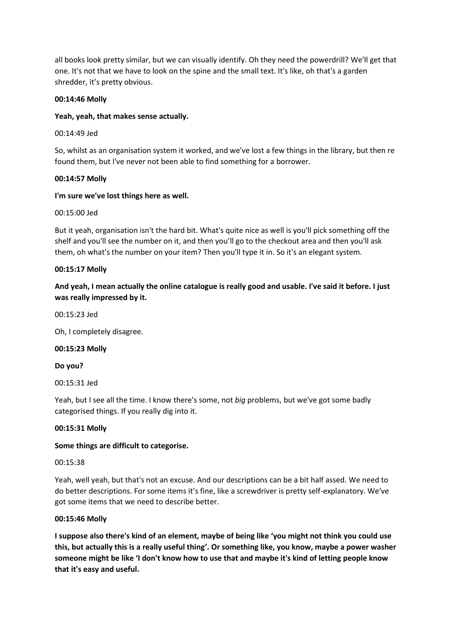all books look pretty similar, but we can visually identify. Oh they need the powerdrill? We'll get that one. It's not that we have to look on the spine and the small text. It's like, oh that's a garden shredder, it's pretty obvious.

# **00:14:46 Molly**

# **Yeah, yeah, that makes sense actually.**

00:14:49 Jed

So, whilst as an organisation system it worked, and we've lost a few things in the library, but then re found them, but I've never not been able to find something for a borrower.

# **00:14:57 Molly**

# **I'm sure we've lost things here as well.**

# 00:15:00 Jed

But it yeah, organisation isn't the hard bit. What's quite nice as well is you'll pick something off the shelf and you'll see the number on it, and then you'll go to the checkout area and then you'll ask them, oh what's the number on your item? Then you'll type it in. So it's an elegant system.

# **00:15:17 Molly**

# **And yeah, I mean actually the online catalogue is really good and usable. I've said it before. I just was really impressed by it.**

00:15:23 Jed

Oh, I completely disagree.

# **00:15:23 Molly**

**Do you?**

00:15:31 Jed

Yeah, but I see all the time. I know there's some, not *big* problems, but we've got some badly categorised things. If you really dig into it.

# **00:15:31 Molly**

# **Some things are difficult to categorise.**

# 00:15:38

Yeah, well yeah, but that's not an excuse. And our descriptions can be a bit half assed. We need to do better descriptions. For some items it's fine, like a screwdriver is pretty self-explanatory. We've got some items that we need to describe better.

# **00:15:46 Molly**

**I suppose also there's kind of an element, maybe of being like 'you might not think you could use this, but actually this is a really useful thing'. Or something like, you know, maybe a power washer someone might be like 'I don't know how to use that and maybe it's kind of letting people know that it's easy and useful.**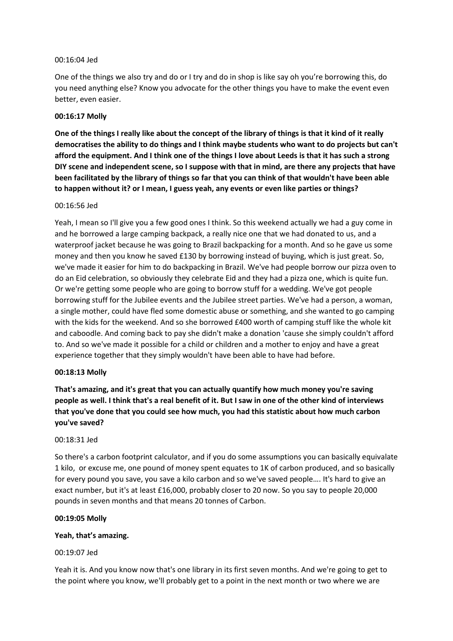#### 00:16:04 Jed

One of the things we also try and do or I try and do in shop is like say oh you're borrowing this, do you need anything else? Know you advocate for the other things you have to make the event even better, even easier.

#### **00:16:17 Molly**

**One of the things I really like about the concept of the library of things is that it kind of it really democratises the ability to do things and I think maybe students who want to do projects but can't afford the equipment. And I think one of the things I love about Leeds is that it has such a strong DIY scene and independent scene, so I suppose with that in mind, are there any projects that have been facilitated by the library of things so far that you can think of that wouldn't have been able to happen without it? or I mean, I guess yeah, any events or even like parties or things?**

#### 00:16:56 Jed

Yeah, I mean so I'll give you a few good ones I think. So this weekend actually we had a guy come in and he borrowed a large camping backpack, a really nice one that we had donated to us, and a waterproof jacket because he was going to Brazil backpacking for a month. And so he gave us some money and then you know he saved £130 by borrowing instead of buying, which is just great. So, we've made it easier for him to do backpacking in Brazil. We've had people borrow our pizza oven to do an Eid celebration, so obviously they celebrate Eid and they had a pizza one, which is quite fun. Or we're getting some people who are going to borrow stuff for a wedding. We've got people borrowing stuff for the Jubilee events and the Jubilee street parties. We've had a person, a woman, a single mother, could have fled some domestic abuse or something, and she wanted to go camping with the kids for the weekend. And so she borrowed £400 worth of camping stuff like the whole kit and caboodle. And coming back to pay she didn't make a donation 'cause she simply couldn't afford to. And so we've made it possible for a child or children and a mother to enjoy and have a great experience together that they simply wouldn't have been able to have had before.

# **00:18:13 Molly**

**That's amazing, and it's great that you can actually quantify how much money you're saving people as well. I think that's a real benefit of it. But I saw in one of the other kind of interviews that you've done that you could see how much, you had this statistic about how much carbon you've saved?**

#### 00:18:31 Jed

So there's a carbon footprint calculator, and if you do some assumptions you can basically equivalate 1 kilo, or excuse me, one pound of money spent equates to 1K of carbon produced, and so basically for every pound you save, you save a kilo carbon and so we've saved people…. It's hard to give an exact number, but it's at least £16,000, probably closer to 20 now. So you say to people 20,000 pounds in seven months and that means 20 tonnes of Carbon.

# **00:19:05 Molly**

# **Yeah, that's amazing.**

#### 00:19:07 Jed

Yeah it is. And you know now that's one library in its first seven months. And we're going to get to the point where you know, we'll probably get to a point in the next month or two where we are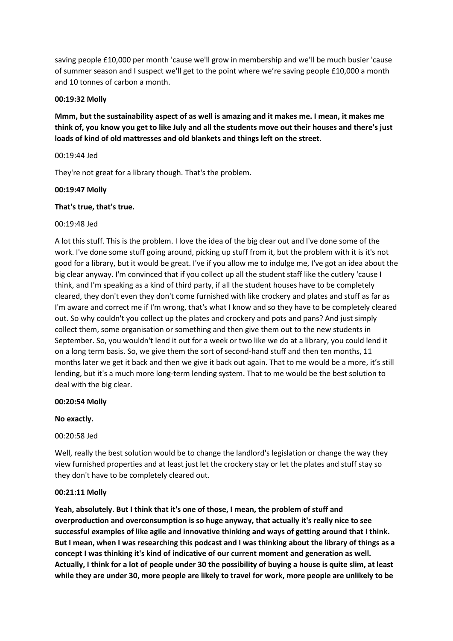saving people £10,000 per month 'cause we'll grow in membership and we'll be much busier 'cause of summer season and I suspect we'll get to the point where we're saving people £10,000 a month and 10 tonnes of carbon a month.

# **00:19:32 Molly**

**Mmm, but the sustainability aspect of as well is amazing and it makes me. I mean, it makes me think of, you know you get to like July and all the students move out their houses and there's just loads of kind of old mattresses and old blankets and things left on the street.**

#### 00:19:44 Jed

They're not great for a library though. That's the problem.

#### **00:19:47 Molly**

#### **That's true, that's true.**

#### 00:19:48 Jed

A lot this stuff. This is the problem. I love the idea of the big clear out and I've done some of the work. I've done some stuff going around, picking up stuff from it, but the problem with it is it's not good for a library, but it would be great. I've if you allow me to indulge me, I've got an idea about the big clear anyway. I'm convinced that if you collect up all the student staff like the cutlery 'cause I think, and I'm speaking as a kind of third party, if all the student houses have to be completely cleared, they don't even they don't come furnished with like crockery and plates and stuff as far as I'm aware and correct me if I'm wrong, that's what I know and so they have to be completely cleared out. So why couldn't you collect up the plates and crockery and pots and pans? And just simply collect them, some organisation or something and then give them out to the new students in September. So, you wouldn't lend it out for a week or two like we do at a library, you could lend it on a long term basis. So, we give them the sort of second-hand stuff and then ten months, 11 months later we get it back and then we give it back out again. That to me would be a more, it's still lending, but it's a much more long-term lending system. That to me would be the best solution to deal with the big clear.

#### **00:20:54 Molly**

# **No exactly.**

# 00:20:58 Jed

Well, really the best solution would be to change the landlord's legislation or change the way they view furnished properties and at least just let the crockery stay or let the plates and stuff stay so they don't have to be completely cleared out.

# **00:21:11 Molly**

**Yeah, absolutely. But I think that it's one of those, I mean, the problem of stuff and overproduction and overconsumption is so huge anyway, that actually it's really nice to see successful examples of like agile and innovative thinking and ways of getting around that I think. But I mean, when I was researching this podcast and I was thinking about the library of things as a concept I was thinking it's kind of indicative of our current moment and generation as well. Actually, I think for a lot of people under 30 the possibility of buying a house is quite slim, at least while they are under 30, more people are likely to travel for work, more people are unlikely to be**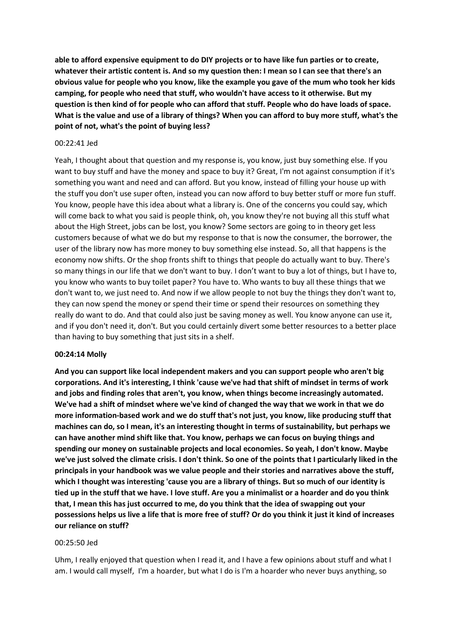**able to afford expensive equipment to do DIY projects or to have like fun parties or to create, whatever their artistic content is. And so my question then: I mean so I can see that there's an obvious value for people who you know, like the example you gave of the mum who took her kids camping, for people who need that stuff, who wouldn't have access to it otherwise. But my question is then kind of for people who can afford that stuff. People who do have loads of space. What is the value and use of a library of things? When you can afford to buy more stuff, what's the point of not, what's the point of buying less?**

#### 00:22:41 Jed

Yeah, I thought about that question and my response is, you know, just buy something else. If you want to buy stuff and have the money and space to buy it? Great, I'm not against consumption if it's something you want and need and can afford. But you know, instead of filling your house up with the stuff you don't use super often, instead you can now afford to buy better stuff or more fun stuff. You know, people have this idea about what a library is. One of the concerns you could say, which will come back to what you said is people think, oh, you know they're not buying all this stuff what about the High Street, jobs can be lost, you know? Some sectors are going to in theory get less customers because of what we do but my response to that is now the consumer, the borrower, the user of the library now has more money to buy something else instead. So, all that happens is the economy now shifts. Or the shop fronts shift to things that people do actually want to buy. There's so many things in our life that we don't want to buy. I don't want to buy a lot of things, but I have to, you know who wants to buy toilet paper? You have to. Who wants to buy all these things that we don't want to, we just need to. And now if we allow people to not buy the things they don't want to, they can now spend the money or spend their time or spend their resources on something they really do want to do. And that could also just be saving money as well. You know anyone can use it, and if you don't need it, don't. But you could certainly divert some better resources to a better place than having to buy something that just sits in a shelf.

#### **00:24:14 Molly**

**And you can support like local independent makers and you can support people who aren't big corporations. And it's interesting, I think 'cause we've had that shift of mindset in terms of work and jobs and finding roles that aren't, you know, when things become increasingly automated. We've had a shift of mindset where we've kind of changed the way that we work in that we do more information-based work and we do stuff that's not just, you know, like producing stuff that machines can do, so I mean, it's an interesting thought in terms of sustainability, but perhaps we can have another mind shift like that. You know, perhaps we can focus on buying things and spending our money on sustainable projects and local economies. So yeah, I don't know. Maybe we've just solved the climate crisis. I don't think. So one of the points that I particularly liked in the principals in your handbook was we value people and their stories and narratives above the stuff, which I thought was interesting 'cause you are a library of things. But so much of our identity is tied up in the stuff that we have. I love stuff. Are you a minimalist or a hoarder and do you think that, I mean this has just occurred to me, do you think that the idea of swapping out your possessions helps us live a life that is more free of stuff? Or do you think it just it kind of increases our reliance on stuff?**

#### 00:25:50 Jed

Uhm, I really enjoyed that question when I read it, and I have a few opinions about stuff and what I am. I would call myself, I'm a hoarder, but what I do is I'm a hoarder who never buys anything, so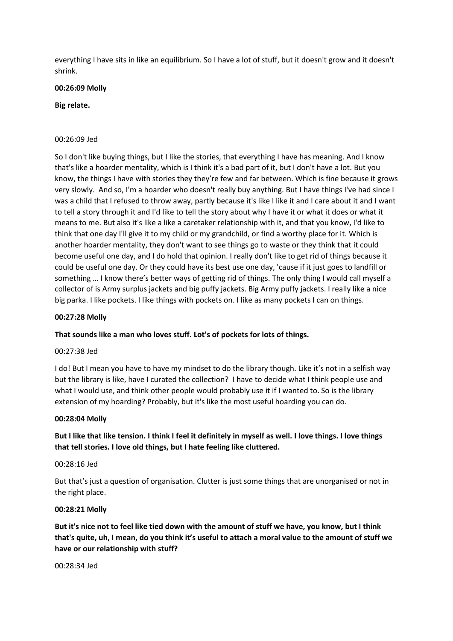everything I have sits in like an equilibrium. So I have a lot of stuff, but it doesn't grow and it doesn't shrink.

#### **00:26:09 Molly**

#### **Big relate.**

#### 00:26:09 Jed

So I don't like buying things, but I like the stories, that everything I have has meaning. And I know that's like a hoarder mentality, which is I think it's a bad part of it, but I don't have a lot. But you know, the things I have with stories they they're few and far between. Which is fine because it grows very slowly. And so, I'm a hoarder who doesn't really buy anything. But I have things I've had since I was a child that I refused to throw away, partly because it's like I like it and I care about it and I want to tell a story through it and I'd like to tell the story about why I have it or what it does or what it means to me. But also it's like a like a caretaker relationship with it, and that you know, I'd like to think that one day I'll give it to my child or my grandchild, or find a worthy place for it. Which is another hoarder mentality, they don't want to see things go to waste or they think that it could become useful one day, and I do hold that opinion. I really don't like to get rid of things because it could be useful one day. Or they could have its best use one day, 'cause if it just goes to landfill or something … I know there's better ways of getting rid of things. The only thing I would call myself a collector of is Army surplus jackets and big puffy jackets. Big Army puffy jackets. I really like a nice big parka. I like pockets. I like things with pockets on. I like as many pockets I can on things.

#### **00:27:28 Molly**

# **That sounds like a man who loves stuff. Lot's of pockets for lots of things.**

#### 00:27:38 Jed

I do! But I mean you have to have my mindset to do the library though. Like it's not in a selfish way but the library is like, have I curated the collection? I have to decide what I think people use and what I would use, and think other people would probably use it if I wanted to. So is the library extension of my hoarding? Probably, but it's like the most useful hoarding you can do.

#### **00:28:04 Molly**

# **But I like that like tension. I think I feel it definitely in myself as well. I love things. I love things that tell stories. I love old things, but I hate feeling like cluttered.**

#### 00:28:16 Jed

But that's just a question of organisation. Clutter is just some things that are unorganised or not in the right place.

#### **00:28:21 Molly**

**But it's nice not to feel like tied down with the amount of stuff we have, you know, but I think that's quite, uh, I mean, do you think it's useful to attach a moral value to the amount of stuff we have or our relationship with stuff?**

00:28:34 Jed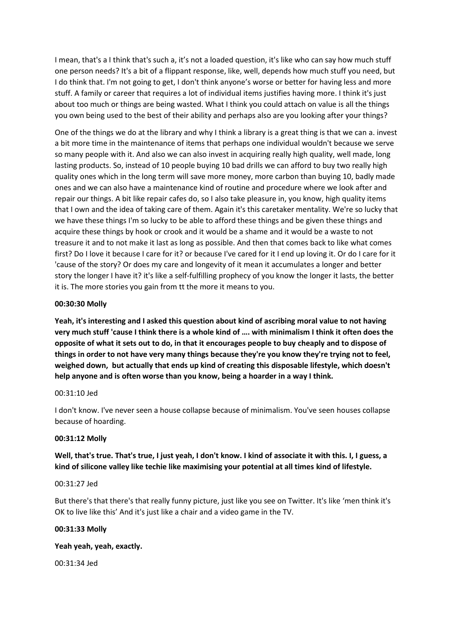I mean, that's a I think that's such a, it's not a loaded question, it's like who can say how much stuff one person needs? It's a bit of a flippant response, like, well, depends how much stuff you need, but I do think that. I'm not going to get, I don't think anyone's worse or better for having less and more stuff. A family or career that requires a lot of individual items justifies having more. I think it's just about too much or things are being wasted. What I think you could attach on value is all the things you own being used to the best of their ability and perhaps also are you looking after your things?

One of the things we do at the library and why I think a library is a great thing is that we can a. invest a bit more time in the maintenance of items that perhaps one individual wouldn't because we serve so many people with it. And also we can also invest in acquiring really high quality, well made, long lasting products. So, instead of 10 people buying 10 bad drills we can afford to buy two really high quality ones which in the long term will save more money, more carbon than buying 10, badly made ones and we can also have a maintenance kind of routine and procedure where we look after and repair our things. A bit like repair cafes do, so I also take pleasure in, you know, high quality items that I own and the idea of taking care of them. Again it's this caretaker mentality. We're so lucky that we have these things I'm so lucky to be able to afford these things and be given these things and acquire these things by hook or crook and it would be a shame and it would be a waste to not treasure it and to not make it last as long as possible. And then that comes back to like what comes first? Do I love it because I care for it? or because I've cared for it I end up loving it. Or do I care for it 'cause of the story? Or does my care and longevity of it mean it accumulates a longer and better story the longer I have it? it's like a self-fulfilling prophecy of you know the longer it lasts, the better it is. The more stories you gain from tt the more it means to you.

# **00:30:30 Molly**

**Yeah, it's interesting and I asked this question about kind of ascribing moral value to not having very much stuff 'cause I think there is a whole kind of …. with minimalism I think it often does the opposite of what it sets out to do, in that it encourages people to buy cheaply and to dispose of things in order to not have very many things because they're you know they're trying not to feel, weighed down, but actually that ends up kind of creating this disposable lifestyle, which doesn't help anyone and is often worse than you know, being a hoarder in a way I think.**

# 00:31:10 Jed

I don't know. I've never seen a house collapse because of minimalism. You've seen houses collapse because of hoarding.

# **00:31:12 Molly**

**Well, that's true. That's true, I just yeah, I don't know. I kind of associate it with this. I, I guess, a kind of silicone valley like techie like maximising your potential at all times kind of lifestyle.**

#### 00:31:27 Jed

But there's that there's that really funny picture, just like you see on Twitter. It's like 'men think it's OK to live like this' And it's just like a chair and a video game in the TV.

# **00:31:33 Molly**

# **Yeah yeah, yeah, exactly.**

00:31:34 Jed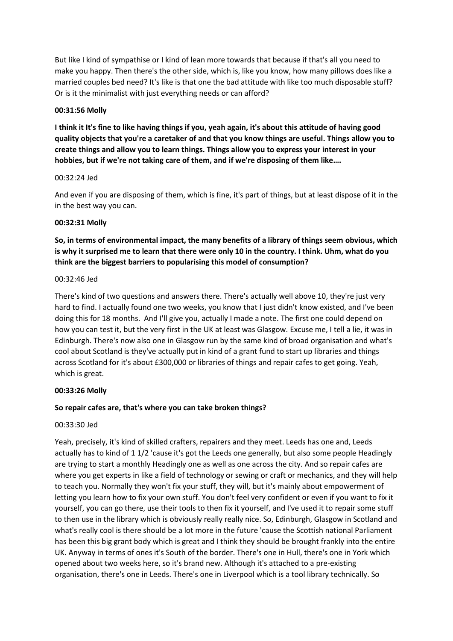But like I kind of sympathise or I kind of lean more towards that because if that's all you need to make you happy. Then there's the other side, which is, like you know, how many pillows does like a married couples bed need? It's like is that one the bad attitude with like too much disposable stuff? Or is it the minimalist with just everything needs or can afford?

#### **00:31:56 Molly**

**I think it It's fine to like having things if you, yeah again, it's about this attitude of having good quality objects that you're a caretaker of and that you know things are useful. Things allow you to create things and allow you to learn things. Things allow you to express your interest in your hobbies, but if we're not taking care of them, and if we're disposing of them like….**

#### 00:32:24 Jed

And even if you are disposing of them, which is fine, it's part of things, but at least dispose of it in the in the best way you can.

#### **00:32:31 Molly**

**So, in terms of environmental impact, the many benefits of a library of things seem obvious, which is why it surprised me to learn that there were only 10 in the country. I think. Uhm, what do you think are the biggest barriers to popularising this model of consumption?**

#### 00:32:46 Jed

There's kind of two questions and answers there. There's actually well above 10, they're just very hard to find. I actually found one two weeks, you know that I just didn't know existed, and I've been doing this for 18 months. And I'll give you, actually I made a note. The first one could depend on how you can test it, but the very first in the UK at least was Glasgow. Excuse me, I tell a lie, it was in Edinburgh. There's now also one in Glasgow run by the same kind of broad organisation and what's cool about Scotland is they've actually put in kind of a grant fund to start up libraries and things across Scotland for it's about £300,000 or libraries of things and repair cafes to get going. Yeah, which is great.

#### **00:33:26 Molly**

#### **So repair cafes are, that's where you can take broken things?**

#### 00:33:30 Jed

Yeah, precisely, it's kind of skilled crafters, repairers and they meet. Leeds has one and, Leeds actually has to kind of 1 1/2 'cause it's got the Leeds one generally, but also some people Headingly are trying to start a monthly Headingly one as well as one across the city. And so repair cafes are where you get experts in like a field of technology or sewing or craft or mechanics, and they will help to teach you. Normally they won't fix your stuff, they will, but it's mainly about empowerment of letting you learn how to fix your own stuff. You don't feel very confident or even if you want to fix it yourself, you can go there, use their tools to then fix it yourself, and I've used it to repair some stuff to then use in the library which is obviously really really nice. So, Edinburgh, Glasgow in Scotland and what's really cool is there should be a lot more in the future 'cause the Scottish national Parliament has been this big grant body which is great and I think they should be brought frankly into the entire UK. Anyway in terms of ones it's South of the border. There's one in Hull, there's one in York which opened about two weeks here, so it's brand new. Although it's attached to a pre-existing organisation, there's one in Leeds. There's one in Liverpool which is a tool library technically. So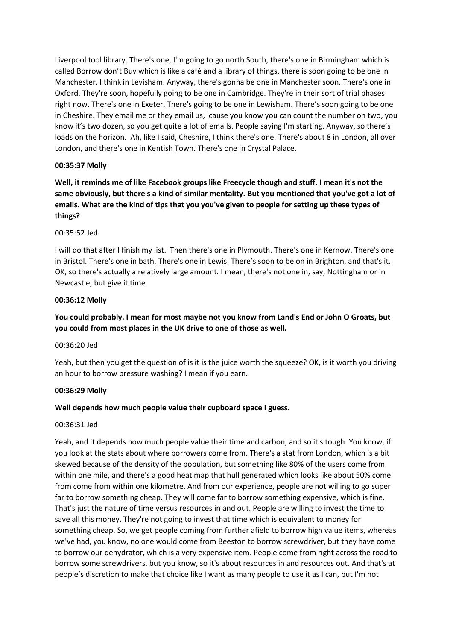Liverpool tool library. There's one, I'm going to go north South, there's one in Birmingham which is called Borrow don't Buy which is like a café and a library of things, there is soon going to be one in Manchester. I think in Levisham. Anyway, there's gonna be one in Manchester soon. There's one in Oxford. They're soon, hopefully going to be one in Cambridge. They're in their sort of trial phases right now. There's one in Exeter. There's going to be one in Lewisham. There's soon going to be one in Cheshire. They email me or they email us, 'cause you know you can count the number on two, you know it's two dozen, so you get quite a lot of emails. People saying I'm starting. Anyway, so there's loads on the horizon. Ah, like I said, Cheshire, I think there's one. There's about 8 in London, all over London, and there's one in Kentish Town. There's one in Crystal Palace.

# **00:35:37 Molly**

**Well, it reminds me of like Facebook groups like Freecycle though and stuff. I mean it's not the same obviously, but there's a kind of similar mentality. But you mentioned that you've got a lot of emails. What are the kind of tips that you you've given to people for setting up these types of things?**

#### 00:35:52 Jed

I will do that after I finish my list. Then there's one in Plymouth. There's one in Kernow. There's one in Bristol. There's one in bath. There's one in Lewis. There's soon to be on in Brighton, and that's it. OK, so there's actually a relatively large amount. I mean, there's not one in, say, Nottingham or in Newcastle, but give it time.

#### **00:36:12 Molly**

# **You could probably. I mean for most maybe not you know from Land's End or John O Groats, but you could from most places in the UK drive to one of those as well.**

#### 00:36:20 Jed

Yeah, but then you get the question of is it is the juice worth the squeeze? OK, is it worth you driving an hour to borrow pressure washing? I mean if you earn.

#### **00:36:29 Molly**

# **Well depends how much people value their cupboard space I guess.**

#### 00:36:31 Jed

Yeah, and it depends how much people value their time and carbon, and so it's tough. You know, if you look at the stats about where borrowers come from. There's a stat from London, which is a bit skewed because of the density of the population, but something like 80% of the users come from within one mile, and there's a good heat map that hull generated which looks like about 50% come from come from within one kilometre. And from our experience, people are not willing to go super far to borrow something cheap. They will come far to borrow something expensive, which is fine. That's just the nature of time versus resources in and out. People are willing to invest the time to save all this money. They're not going to invest that time which is equivalent to money for something cheap. So, we get people coming from further afield to borrow high value items, whereas we've had, you know, no one would come from Beeston to borrow screwdriver, but they have come to borrow our dehydrator, which is a very expensive item. People come from right across the road to borrow some screwdrivers, but you know, so it's about resources in and resources out. And that's at people's discretion to make that choice like I want as many people to use it as I can, but I'm not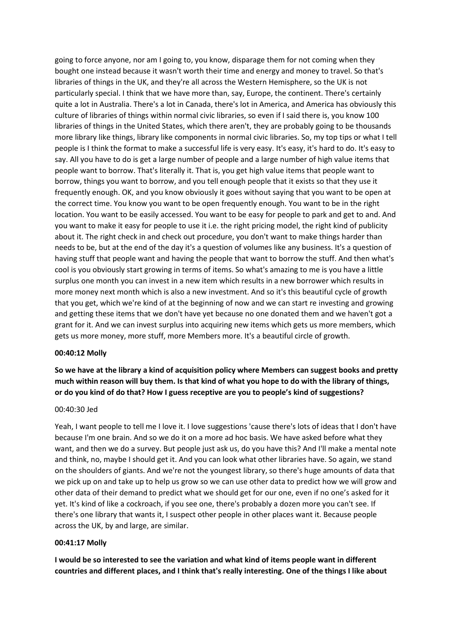going to force anyone, nor am I going to, you know, disparage them for not coming when they bought one instead because it wasn't worth their time and energy and money to travel. So that's libraries of things in the UK, and they're all across the Western Hemisphere, so the UK is not particularly special. I think that we have more than, say, Europe, the continent. There's certainly quite a lot in Australia. There's a lot in Canada, there's lot in America, and America has obviously this culture of libraries of things within normal civic libraries, so even if I said there is, you know 100 libraries of things in the United States, which there aren't, they are probably going to be thousands more library like things, library like components in normal civic libraries. So, my top tips or what I tell people is I think the format to make a successful life is very easy. It's easy, it's hard to do. It's easy to say. All you have to do is get a large number of people and a large number of high value items that people want to borrow. That's literally it. That is, you get high value items that people want to borrow, things you want to borrow, and you tell enough people that it exists so that they use it frequently enough. OK, and you know obviously it goes without saying that you want to be open at the correct time. You know you want to be open frequently enough. You want to be in the right location. You want to be easily accessed. You want to be easy for people to park and get to and. And you want to make it easy for people to use it i.e. the right pricing model, the right kind of publicity about it. The right check in and check out procedure, you don't want to make things harder than needs to be, but at the end of the day it's a question of volumes like any business. It's a question of having stuff that people want and having the people that want to borrow the stuff. And then what's cool is you obviously start growing in terms of items. So what's amazing to me is you have a little surplus one month you can invest in a new item which results in a new borrower which results in more money next month which is also a new investment. And so it's this beautiful cycle of growth that you get, which we're kind of at the beginning of now and we can start re investing and growing and getting these items that we don't have yet because no one donated them and we haven't got a grant for it. And we can invest surplus into acquiring new items which gets us more members, which gets us more money, more stuff, more Members more. It's a beautiful circle of growth.

#### **00:40:12 Molly**

**So we have at the library a kind of acquisition policy where Members can suggest books and pretty much within reason will buy them. Is that kind of what you hope to do with the library of things, or do you kind of do that? How I guess receptive are you to people's kind of suggestions?**

#### 00:40:30 Jed

Yeah, I want people to tell me I love it. I love suggestions 'cause there's lots of ideas that I don't have because I'm one brain. And so we do it on a more ad hoc basis. We have asked before what they want, and then we do a survey. But people just ask us, do you have this? And I'll make a mental note and think, no, maybe I should get it. And you can look what other libraries have. So again, we stand on the shoulders of giants. And we're not the youngest library, so there's huge amounts of data that we pick up on and take up to help us grow so we can use other data to predict how we will grow and other data of their demand to predict what we should get for our one, even if no one's asked for it yet. It's kind of like a cockroach, if you see one, there's probably a dozen more you can't see. If there's one library that wants it, I suspect other people in other places want it. Because people across the UK, by and large, are similar.

#### **00:41:17 Molly**

**I would be so interested to see the variation and what kind of items people want in different countries and different places, and I think that's really interesting. One of the things I like about**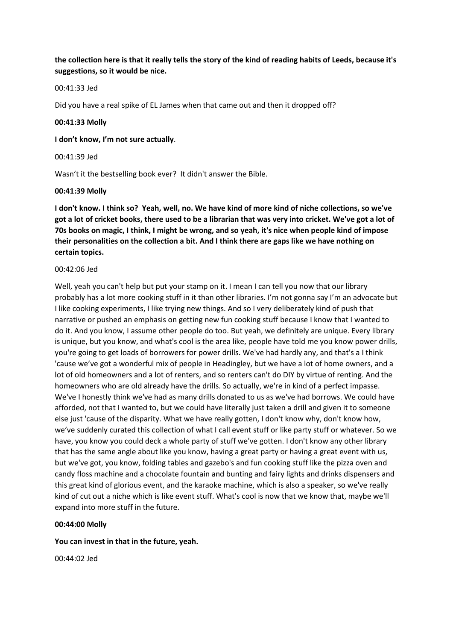**the collection here is that it really tells the story of the kind of reading habits of Leeds, because it's suggestions, so it would be nice.**

#### 00:41:33 Jed

Did you have a real spike of EL James when that came out and then it dropped off?

#### **00:41:33 Molly**

**I don't know, I'm not sure actually**.

00:41:39 Jed

Wasn't it the bestselling book ever? It didn't answer the Bible.

#### **00:41:39 Molly**

**I don't know. I think so? Yeah, well, no. We have kind of more kind of niche collections, so we've got a lot of cricket books, there used to be a librarian that was very into cricket. We've got a lot of 70s books on magic, I think, I might be wrong, and so yeah, it's nice when people kind of impose their personalities on the collection a bit. And I think there are gaps like we have nothing on certain topics.**

#### 00:42:06 Jed

Well, yeah you can't help but put your stamp on it. I mean I can tell you now that our library probably has a lot more cooking stuff in it than other libraries. I'm not gonna say I'm an advocate but I like cooking experiments, I like trying new things. And so I very deliberately kind of push that narrative or pushed an emphasis on getting new fun cooking stuff because I know that I wanted to do it. And you know, I assume other people do too. But yeah, we definitely are unique. Every library is unique, but you know, and what's cool is the area like, people have told me you know power drills, you're going to get loads of borrowers for power drills. We've had hardly any, and that's a I think 'cause we've got a wonderful mix of people in Headingley, but we have a lot of home owners, and a lot of old homeowners and a lot of renters, and so renters can't do DIY by virtue of renting. And the homeowners who are old already have the drills. So actually, we're in kind of a perfect impasse. We've I honestly think we've had as many drills donated to us as we've had borrows. We could have afforded, not that I wanted to, but we could have literally just taken a drill and given it to someone else just 'cause of the disparity. What we have really gotten, I don't know why, don't know how, we've suddenly curated this collection of what I call event stuff or like party stuff or whatever. So we have, you know you could deck a whole party of stuff we've gotten. I don't know any other library that has the same angle about like you know, having a great party or having a great event with us, but we've got, you know, folding tables and gazebo's and fun cooking stuff like the pizza oven and candy floss machine and a chocolate fountain and bunting and fairy lights and drinks dispensers and this great kind of glorious event, and the karaoke machine, which is also a speaker, so we've really kind of cut out a niche which is like event stuff. What's cool is now that we know that, maybe we'll expand into more stuff in the future.

#### **00:44:00 Molly**

#### **You can invest in that in the future, yeah.**

00:44:02 Jed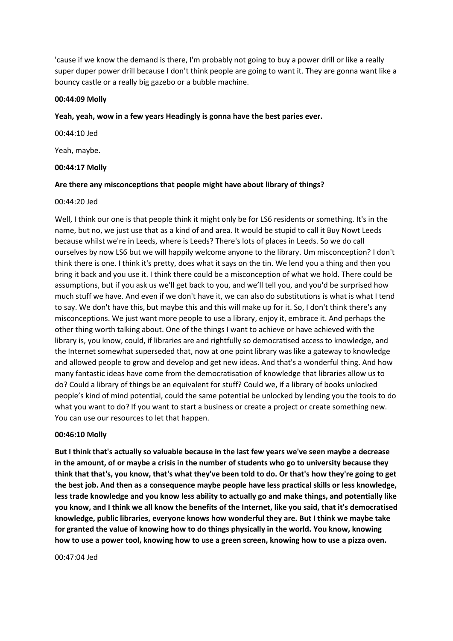'cause if we know the demand is there, I'm probably not going to buy a power drill or like a really super duper power drill because I don't think people are going to want it. They are gonna want like a bouncy castle or a really big gazebo or a bubble machine.

#### **00:44:09 Molly**

#### **Yeah, yeah, wow in a few years Headingly is gonna have the best paries ever.**

00:44:10 Jed

Yeah, maybe.

#### **00:44:17 Molly**

#### **Are there any misconceptions that people might have about library of things?**

#### 00:44:20 Jed

Well, I think our one is that people think it might only be for LS6 residents or something. It's in the name, but no, we just use that as a kind of and area. It would be stupid to call it Buy Nowt Leeds because whilst we're in Leeds, where is Leeds? There's lots of places in Leeds. So we do call ourselves by now LS6 but we will happily welcome anyone to the library. Um misconception? I don't think there is one. I think it's pretty, does what it says on the tin. We lend you a thing and then you bring it back and you use it. I think there could be a misconception of what we hold. There could be assumptions, but if you ask us we'll get back to you, and we'll tell you, and you'd be surprised how much stuff we have. And even if we don't have it, we can also do substitutions is what is what I tend to say. We don't have this, but maybe this and this will make up for it. So, I don't think there's any misconceptions. We just want more people to use a library, enjoy it, embrace it. And perhaps the other thing worth talking about. One of the things I want to achieve or have achieved with the library is, you know, could, if libraries are and rightfully so democratised access to knowledge, and the Internet somewhat superseded that, now at one point library was like a gateway to knowledge and allowed people to grow and develop and get new ideas. And that's a wonderful thing. And how many fantastic ideas have come from the democratisation of knowledge that libraries allow us to do? Could a library of things be an equivalent for stuff? Could we, if a library of books unlocked people's kind of mind potential, could the same potential be unlocked by lending you the tools to do what you want to do? If you want to start a business or create a project or create something new. You can use our resources to let that happen.

#### **00:46:10 Molly**

**But I think that's actually so valuable because in the last few years we've seen maybe a decrease in the amount, of or maybe a crisis in the number of students who go to university because they think that that's, you know, that's what they've been told to do. Or that's how they're going to get the best job. And then as a consequence maybe people have less practical skills or less knowledge, less trade knowledge and you know less ability to actually go and make things, and potentially like you know, and I think we all know the benefits of the Internet, like you said, that it's democratised knowledge, public libraries, everyone knows how wonderful they are. But I think we maybe take for granted the value of knowing how to do things physically in the world. You know, knowing how to use a power tool, knowing how to use a green screen, knowing how to use a pizza oven.**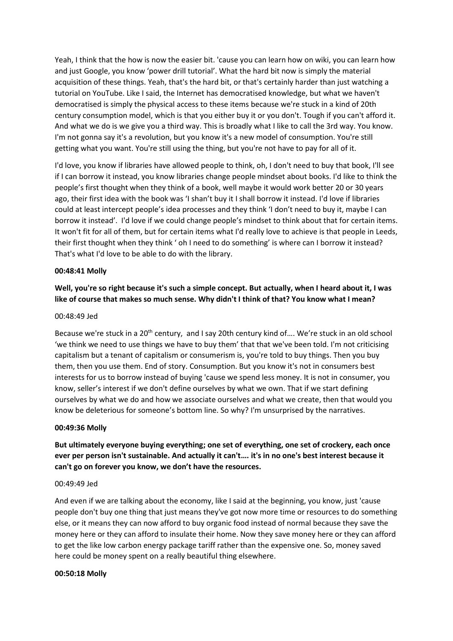Yeah, I think that the how is now the easier bit. 'cause you can learn how on wiki, you can learn how and just Google, you know 'power drill tutorial'. What the hard bit now is simply the material acquisition of these things. Yeah, that's the hard bit, or that's certainly harder than just watching a tutorial on YouTube. Like I said, the Internet has democratised knowledge, but what we haven't democratised is simply the physical access to these items because we're stuck in a kind of 20th century consumption model, which is that you either buy it or you don't. Tough if you can't afford it. And what we do is we give you a third way. This is broadly what I like to call the 3rd way. You know. I'm not gonna say it's a revolution, but you know it's a new model of consumption. You're still getting what you want. You're still using the thing, but you're not have to pay for all of it.

I'd love, you know if libraries have allowed people to think, oh, I don't need to buy that book, I'll see if I can borrow it instead, you know libraries change people mindset about books. I'd like to think the people's first thought when they think of a book, well maybe it would work better 20 or 30 years ago, their first idea with the book was 'I shan't buy it I shall borrow it instead. I'd love if libraries could at least intercept people's idea processes and they think 'I don't need to buy it, maybe I can borrow it instead'. I'd love if we could change people's mindset to think about that for certain items. It won't fit for all of them, but for certain items what I'd really love to achieve is that people in Leeds, their first thought when they think ' oh I need to do something' is where can I borrow it instead? That's what I'd love to be able to do with the library.

#### **00:48:41 Molly**

# **Well, you're so right because it's such a simple concept. But actually, when I heard about it, I was like of course that makes so much sense. Why didn't I think of that? You know what I mean?**

#### 00:48:49 Jed

Because we're stuck in a 20<sup>th</sup> century, and I say 20th century kind of.... We're stuck in an old school 'we think we need to use things we have to buy them' that that we've been told. I'm not criticising capitalism but a tenant of capitalism or consumerism is, you're told to buy things. Then you buy them, then you use them. End of story. Consumption. But you know it's not in consumers best interests for us to borrow instead of buying 'cause we spend less money. It is not in consumer, you know, seller's interest if we don't define ourselves by what we own. That if we start defining ourselves by what we do and how we associate ourselves and what we create, then that would you know be deleterious for someone's bottom line. So why? I'm unsurprised by the narratives.

#### **00:49:36 Molly**

**But ultimately everyone buying everything; one set of everything, one set of crockery, each once ever per person isn't sustainable. And actually it can't…. it's in no one's best interest because it can't go on forever you know, we don't have the resources.** 

#### 00:49:49 Jed

And even if we are talking about the economy, like I said at the beginning, you know, just 'cause people don't buy one thing that just means they've got now more time or resources to do something else, or it means they can now afford to buy organic food instead of normal because they save the money here or they can afford to insulate their home. Now they save money here or they can afford to get the like low carbon energy package tariff rather than the expensive one. So, money saved here could be money spent on a really beautiful thing elsewhere.

#### **00:50:18 Molly**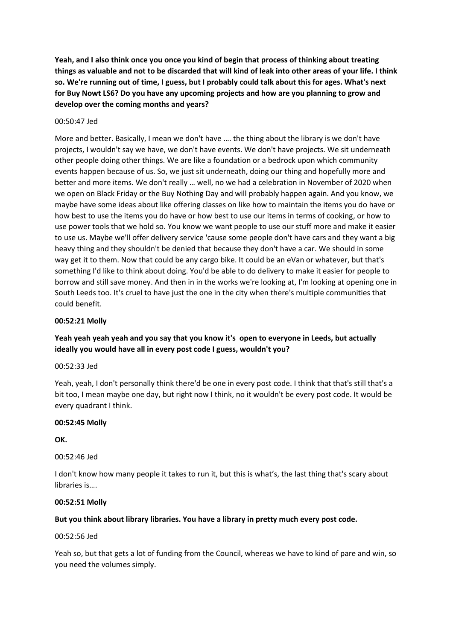**Yeah, and I also think once you once you kind of begin that process of thinking about treating things as valuable and not to be discarded that will kind of leak into other areas of your life. I think so. We're running out of time, I guess, but I probably could talk about this for ages. What's next for Buy Nowt LS6? Do you have any upcoming projects and how are you planning to grow and develop over the coming months and years?**

# 00:50:47 Jed

More and better. Basically, I mean we don't have …. the thing about the library is we don't have projects, I wouldn't say we have, we don't have events. We don't have projects. We sit underneath other people doing other things. We are like a foundation or a bedrock upon which community events happen because of us. So, we just sit underneath, doing our thing and hopefully more and better and more items. We don't really … well, no we had a celebration in November of 2020 when we open on Black Friday or the Buy Nothing Day and will probably happen again. And you know, we maybe have some ideas about like offering classes on like how to maintain the items you do have or how best to use the items you do have or how best to use our items in terms of cooking, or how to use power tools that we hold so. You know we want people to use our stuff more and make it easier to use us. Maybe we'll offer delivery service 'cause some people don't have cars and they want a big heavy thing and they shouldn't be denied that because they don't have a car. We should in some way get it to them. Now that could be any cargo bike. It could be an eVan or whatever, but that's something I'd like to think about doing. You'd be able to do delivery to make it easier for people to borrow and still save money. And then in in the works we're looking at, I'm looking at opening one in South Leeds too. It's cruel to have just the one in the city when there's multiple communities that could benefit.

#### **00:52:21 Molly**

# **Yeah yeah yeah yeah and you say that you know it's open to everyone in Leeds, but actually ideally you would have all in every post code I guess, wouldn't you?**

00:52:33 Jed

Yeah, yeah, I don't personally think there'd be one in every post code. I think that that's still that's a bit too, I mean maybe one day, but right now I think, no it wouldn't be every post code. It would be every quadrant I think.

# **00:52:45 Molly**

**OK.**

00:52:46 Jed

I don't know how many people it takes to run it, but this is what's, the last thing that's scary about libraries is….

#### **00:52:51 Molly**

# **But you think about library libraries. You have a library in pretty much every post code.**

00:52:56 Jed

Yeah so, but that gets a lot of funding from the Council, whereas we have to kind of pare and win, so you need the volumes simply.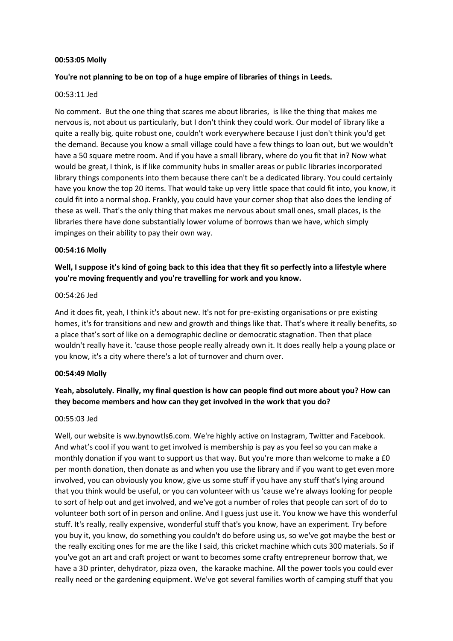#### **00:53:05 Molly**

# **You're not planning to be on top of a huge empire of libraries of things in Leeds.**

#### 00:53:11 Jed

No comment. But the one thing that scares me about libraries, is like the thing that makes me nervous is, not about us particularly, but I don't think they could work. Our model of library like a quite a really big, quite robust one, couldn't work everywhere because I just don't think you'd get the demand. Because you know a small village could have a few things to loan out, but we wouldn't have a 50 square metre room. And if you have a small library, where do you fit that in? Now what would be great, I think, is if like community hubs in smaller areas or public libraries incorporated library things components into them because there can't be a dedicated library. You could certainly have you know the top 20 items. That would take up very little space that could fit into, you know, it could fit into a normal shop. Frankly, you could have your corner shop that also does the lending of these as well. That's the only thing that makes me nervous about small ones, small places, is the libraries there have done substantially lower volume of borrows than we have, which simply impinges on their ability to pay their own way.

#### **00:54:16 Molly**

# **Well, I suppose it's kind of going back to this idea that they fit so perfectly into a lifestyle where you're moving frequently and you're travelling for work and you know.**

# 00:54:26 Jed

And it does fit, yeah, I think it's about new. It's not for pre-existing organisations or pre existing homes, it's for transitions and new and growth and things like that. That's where it really benefits, so a place that's sort of like on a demographic decline or democratic stagnation. Then that place wouldn't really have it. 'cause those people really already own it. It does really help a young place or you know, it's a city where there's a lot of turnover and churn over.

# **00:54:49 Molly**

# **Yeah, absolutely. Finally, my final question is how can people find out more about you? How can they become members and how can they get involved in the work that you do?**

# 00:55:03 Jed

Well, our website is ww.bynowtls6.com. We're highly active on Instagram, Twitter and Facebook. And what's cool if you want to get involved is membership is pay as you feel so you can make a monthly donation if you want to support us that way. But you're more than welcome to make a £0 per month donation, then donate as and when you use the library and if you want to get even more involved, you can obviously you know, give us some stuff if you have any stuff that's lying around that you think would be useful, or you can volunteer with us 'cause we're always looking for people to sort of help out and get involved, and we've got a number of roles that people can sort of do to volunteer both sort of in person and online. And I guess just use it. You know we have this wonderful stuff. It's really, really expensive, wonderful stuff that's you know, have an experiment. Try before you buy it, you know, do something you couldn't do before using us, so we've got maybe the best or the really exciting ones for me are the like I said, this cricket machine which cuts 300 materials. So if you've got an art and craft project or want to becomes some crafty entrepreneur borrow that, we have a 3D printer, dehydrator, pizza oven, the karaoke machine. All the power tools you could ever really need or the gardening equipment. We've got several families worth of camping stuff that you